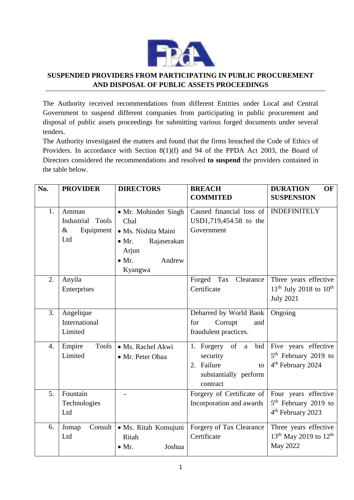

## **SUSPENDED PROVIDERS FROM PARTICIPATING IN PUBLIC PROCUREMENT AND DISPOSAL OF PUBLIC ASSETS PROCEEDINGS**

The Authority received recommendations from different Entities under Local and Central Government to suspend different companies from participating in public procurement and disposal of public assets proceedings for submitting various forged documents under several tenders.

The Authority investigated the matters and found that the firms breached the Code of Ethics of Providers. In accordance with Section 8(1)(f) and 94 of the PPDA Act 2003, the Board of Directors considered the recommendations and resolved **to suspend** the providers contained in the table below.

| No. | <b>PROVIDER</b>                                                 | <b>DIRECTORS</b>                                                                                                        | <b>BREACH</b>                                                                               | <b>DURATION</b><br><b>OF</b>                                                              |
|-----|-----------------------------------------------------------------|-------------------------------------------------------------------------------------------------------------------------|---------------------------------------------------------------------------------------------|-------------------------------------------------------------------------------------------|
|     |                                                                 |                                                                                                                         | <b>COMMITED</b>                                                                             | <b>SUSPENSION</b>                                                                         |
| 1.  | Amman<br>Industrial<br><b>Tools</b><br>$\&$<br>Equipment<br>Ltd | • Mr. Mohinder Singh<br>Chal<br>· Ms. Nishita Maini<br>Rajaserakan<br>$\bullet$ Mr.<br>Arjun<br>$\bullet$ Mr.<br>Andrew | Caused financial loss of<br>USD1,719,454.58 to the<br>Government                            | <b>INDEFINITELY</b>                                                                       |
|     |                                                                 | Kyangwa                                                                                                                 |                                                                                             |                                                                                           |
| 2.  | Anyila<br>Enterprises                                           |                                                                                                                         | Tax Clearance<br>Forged<br>Certificate                                                      | Three years effective<br>$11^{th}$ July 2018 to $10^{th}$<br><b>July 2021</b>             |
| 3.  | Angelique<br>International<br>Limited                           |                                                                                                                         | Debarred by World Bank<br>for<br>Corrupt<br>and<br>fraudulent practices.                    | Ongoing                                                                                   |
| 4.  | Empire<br>Tools<br>Limited                                      | · Ms. Rachel Akwi<br>• Mr. Peter Obaa                                                                                   | bid<br>1. Forgery of a<br>security<br>2. Failure<br>to<br>substantially perform<br>contract | Five years effective<br>5 <sup>th</sup> February 2019 to<br>4 <sup>th</sup> February 2024 |
| 5.  | Fountain<br>Technologies<br>Ltd                                 |                                                                                                                         | Forgery of Certificate of<br>Incorporation and awards                                       | Four years effective<br>5 <sup>th</sup> February 2019 to<br>4 <sup>th</sup> February 2023 |
| 6.  | Consult<br>Jomap<br>Ltd                                         | · Ms. Ritah Komujuni<br>Ritah<br>$\bullet$ Mr.<br>Joshua                                                                | Forgery of Tax Clearance<br>Certificate                                                     | Three years effective<br>13 <sup>th</sup> May 2019 to 12 <sup>th</sup><br>May 2022        |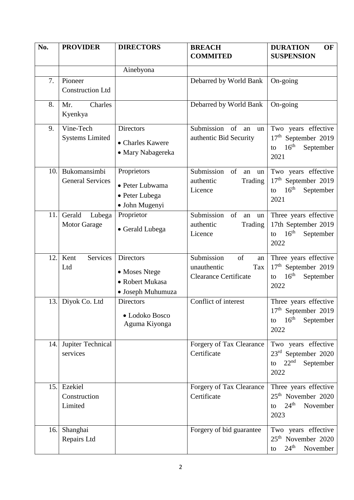| No. | <b>PROVIDER</b>                         | <b>DIRECTORS</b>                                                          | <b>BREACH</b><br><b>COMMITED</b>                                             | OF<br><b>DURATION</b><br><b>SUSPENSION</b>                                                              |
|-----|-----------------------------------------|---------------------------------------------------------------------------|------------------------------------------------------------------------------|---------------------------------------------------------------------------------------------------------|
|     |                                         |                                                                           |                                                                              |                                                                                                         |
|     |                                         | Ainebyona                                                                 |                                                                              |                                                                                                         |
| 7.  | Pioneer<br><b>Construction Ltd</b>      |                                                                           | Debarred by World Bank                                                       | On-going                                                                                                |
| 8.  | Charles<br>Mr.<br>Kyenkya               |                                                                           | Debarred by World Bank                                                       | On-going                                                                                                |
| 9.  | Vine-Tech<br><b>Systems Limited</b>     | <b>Directors</b><br>• Charles Kawere<br>• Mary Nabagereka                 | Submission<br>of<br>an<br>un<br>authentic Bid Security                       | Two years effective<br>17 <sup>th</sup> September 2019<br>16 <sup>th</sup><br>September<br>to<br>2021   |
| 10. | Bukomansimbi<br><b>General Services</b> | Proprietors<br>• Peter Lubwama<br>• Peter Lubega<br>• John Mugenyi        | Submission<br>of<br>an<br>un<br>Trading<br>authentic<br>Licence              | Two years effective<br>17 <sup>th</sup> September 2019<br>16 <sup>th</sup><br>September<br>to<br>2021   |
| 11. | Gerald<br>Lubega<br><b>Motor Garage</b> | Proprietor<br>• Gerald Lubega                                             | Submission<br>of<br>an<br>un<br>Trading<br>authentic<br>Licence              | Three years effective<br>17th September 2019<br>16 <sup>th</sup><br>September<br>to<br>2022             |
| 12. | <b>Services</b><br>Kent<br>Ltd          | <b>Directors</b><br>• Moses Ntege<br>• Robert Mukasa<br>• Joseph Muhumuza | Submission<br>of<br>an<br>unauthentic<br>Tax<br><b>Clearance Certificate</b> | Three years effective<br>17 <sup>th</sup> September 2019<br>16 <sup>th</sup><br>September<br>to<br>2022 |
| 13. | Diyok Co. Ltd                           | <b>Directors</b><br>· Lodoko Bosco<br>Aguma Kiyonga                       | Conflict of interest                                                         | Three years effective<br>$17th$ September 2019<br>16 <sup>th</sup><br>September<br>to<br>2022           |
| 14. | Jupiter Technical<br>services           |                                                                           | Forgery of Tax Clearance<br>Certificate                                      | Two years effective<br>23rd September 2020<br>22 <sup>nd</sup><br>September<br>to<br>2022               |
| 15. | Ezekiel<br>Construction<br>Limited      |                                                                           | Forgery of Tax Clearance<br>Certificate                                      | Three years effective<br>25 <sup>th</sup> November 2020<br>24 <sup>th</sup><br>November<br>to<br>2023   |
| 16. | Shanghai<br>Repairs Ltd                 |                                                                           | Forgery of bid guarantee                                                     | Two years effective<br>25 <sup>th</sup> November 2020<br>24 <sup>th</sup><br>November<br>to             |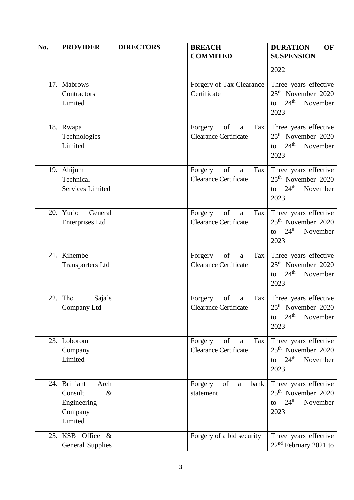| No. | <b>PROVIDER</b>                                                                  | <b>DIRECTORS</b> | <b>BREACH</b><br><b>COMMITED</b>                                     | <b>DURATION</b><br>OF<br><b>SUSPENSION</b>                                                            |
|-----|----------------------------------------------------------------------------------|------------------|----------------------------------------------------------------------|-------------------------------------------------------------------------------------------------------|
|     |                                                                                  |                  |                                                                      | 2022                                                                                                  |
| 17. | Mabrows<br>Contractors<br>Limited                                                |                  | Forgery of Tax Clearance<br>Certificate                              | Three years effective<br>25 <sup>th</sup> November 2020<br>$24^{\text{th}}$<br>November<br>to<br>2023 |
| 18. | Rwapa<br>Technologies<br>Limited                                                 |                  | of<br>Forgery<br>Tax<br>a<br><b>Clearance Certificate</b>            | Three years effective<br>$25th$ November 2020<br>$24^{\text{th}}$<br>November<br>to<br>2023           |
| 19. | Ahijum<br>Technical<br><b>Services Limited</b>                                   |                  | of<br>Forgery<br>Tax<br>$\mathbf{a}$<br><b>Clearance Certificate</b> | Three years effective<br>25 <sup>th</sup> November 2020<br>$24^{\text{th}}$<br>November<br>to<br>2023 |
| 20. | Yurio<br>General<br><b>Enterprises Ltd</b>                                       |                  | of<br>Forgery<br>Tax<br>$\mathbf{a}$<br><b>Clearance Certificate</b> | Three years effective<br>25 <sup>th</sup> November 2020<br>24 <sup>th</sup><br>November<br>to<br>2023 |
| 21. | Kihembe<br><b>Transporters Ltd</b>                                               |                  | of<br>Forgery<br>Tax<br>$\rm{a}$<br><b>Clearance Certificate</b>     | Three years effective<br>25 <sup>th</sup> November 2020<br>$24^{\text{th}}$<br>November<br>to<br>2023 |
| 22. | The<br>Saja's<br>Company Ltd                                                     |                  | of<br>Forgery<br>Tax<br>$\mathbf{a}$<br><b>Clearance Certificate</b> | Three years effective<br>$25th$ November 2020<br>24 <sup>th</sup><br>November<br>to<br>2023           |
| 23. | Loborom<br>Company<br>Limited                                                    |                  | of<br>Forgery<br>Tax<br>a<br><b>Clearance Certificate</b>            | Three years effective<br>25 <sup>th</sup> November 2020<br>$24^{\text{th}}$<br>November<br>to<br>2023 |
| 24. | <b>Brilliant</b><br>Arch<br>Consult<br>$\&$<br>Engineering<br>Company<br>Limited |                  | of<br>Forgery<br>bank<br>a<br>statement                              | Three years effective<br>$25th$ November 2020<br>24 <sup>th</sup><br>November<br>to<br>2023           |
| 25. | KSB Office &<br><b>General Supplies</b>                                          |                  | Forgery of a bid security                                            | Three years effective<br>$22nd$ February 2021 to                                                      |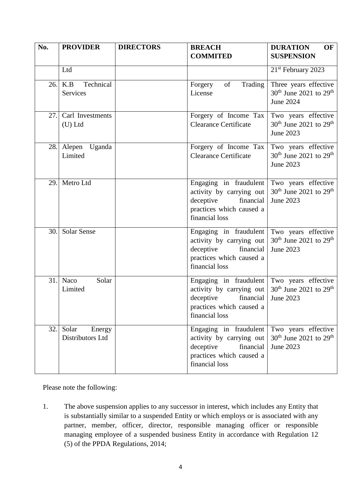| No. | <b>PROVIDER</b>                     | <b>DIRECTORS</b> | <b>BREACH</b>                                                                                                              | <b>DURATION</b><br>OF                                                                |
|-----|-------------------------------------|------------------|----------------------------------------------------------------------------------------------------------------------------|--------------------------------------------------------------------------------------|
|     |                                     |                  | <b>COMMITED</b>                                                                                                            | <b>SUSPENSION</b>                                                                    |
|     | Ltd                                 |                  |                                                                                                                            | 21 <sup>st</sup> February 2023                                                       |
| 26. | Technical<br>K.B<br><b>Services</b> |                  | of<br>Trading<br>Forgery<br>License                                                                                        | Three years effective<br>30 <sup>th</sup> June 2021 to 29 <sup>th</sup><br>June 2024 |
| 27. | Carl Investments<br>$(U)$ Ltd       |                  | Forgery of Income Tax<br><b>Clearance Certificate</b>                                                                      | Two years effective<br>30 <sup>th</sup> June 2021 to 29 <sup>th</sup><br>June 2023   |
| 28. | Alepen Uganda<br>Limited            |                  | Forgery of Income Tax<br><b>Clearance Certificate</b>                                                                      | Two years effective<br>$30th$ June 2021 to 29 <sup>th</sup><br>June 2023             |
| 29. | Metro Ltd                           |                  | Engaging in fraudulent<br>activity by carrying out<br>financial<br>deceptive<br>practices which caused a<br>financial loss | Two years effective<br>$30th$ June 2021 to 29 <sup>th</sup><br>June 2023             |
| 30. | <b>Solar Sense</b>                  |                  | Engaging in fraudulent<br>activity by carrying out<br>deceptive<br>financial<br>practices which caused a<br>financial loss | Two years effective<br>$30th$ June 2021 to 29 <sup>th</sup><br>June 2023             |
| 31. | Solar<br>Naco<br>Limited            |                  | Engaging in fraudulent<br>activity by carrying out<br>deceptive<br>financial<br>practices which caused a<br>financial loss | Two years effective<br>$30th$ June 2021 to 29 <sup>th</sup><br>June 2023             |
| 32. | Solar<br>Energy<br>Distributors Ltd |                  | Engaging in fraudulent<br>activity by carrying out<br>deceptive<br>financial<br>practices which caused a<br>financial loss | Two years effective<br>$30th$ June 2021 to 29 <sup>th</sup><br>June 2023             |

Please note the following:

1. The above suspension applies to any successor in interest, which includes any Entity that is substantially similar to a suspended Entity or which employs or is associated with any partner, member, officer, director, responsible managing officer or responsible managing employee of a suspended business Entity in accordance with Regulation 12 (5) of the PPDA Regulations, 2014;